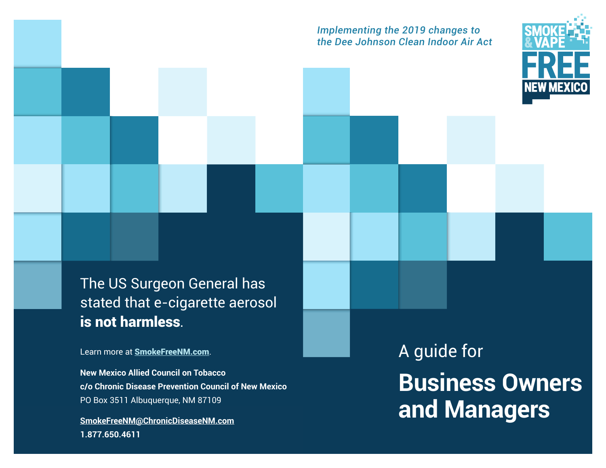#### *Implementing the 2019 changes to the Dee Johnson Clean Indoor Air Act*



The US Surgeon General has stated that e-cigarette aerosol is not harmless.

Learn more at [SmokeFreeNM.com](https://www.smokefreenewmexico.com/).

**New Mexico Allied Council on Tobacco c/o Chronic Disease Prevention Council of New Mexico** PO Box 3511 Albuquerque, NM 87109

**[SmokeFreeNM@ChronicDiseaseNM.com](mailto:SmokeFreeNM%40ChronicDiseaseNM.com?subject=) 1.877.650.4611**

A guide for **Business Owners and Managers**